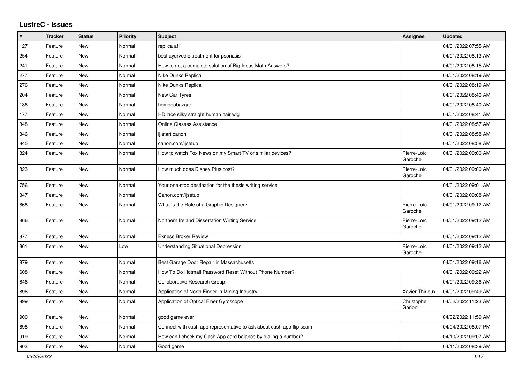## **LustreC - Issues**

| #   | <b>Tracker</b> | <b>Status</b> | Priority | Subject                                                              | <b>Assignee</b>        | <b>Updated</b>      |
|-----|----------------|---------------|----------|----------------------------------------------------------------------|------------------------|---------------------|
| 127 | Feature        | <b>New</b>    | Normal   | replica af1                                                          |                        | 04/01/2022 07:55 AM |
| 254 | Feature        | <b>New</b>    | Normal   | best ayurvedic treatment for psoriasis                               |                        | 04/01/2022 08:13 AM |
| 241 | Feature        | <b>New</b>    | Normal   | How to get a complete solution of Big Ideas Math Answers?            |                        | 04/01/2022 08:15 AM |
| 277 | Feature        | <b>New</b>    | Normal   | Nike Dunks Replica                                                   |                        | 04/01/2022 08:19 AM |
| 276 | Feature        | <b>New</b>    | Normal   | Nike Dunks Replica                                                   |                        | 04/01/2022 08:19 AM |
| 204 | Feature        | <b>New</b>    | Normal   | New Car Tyres                                                        |                        | 04/01/2022 08:40 AM |
| 186 | Feature        | <b>New</b>    | Normal   | homoeobazaar                                                         |                        | 04/01/2022 08:40 AM |
| 177 | Feature        | <b>New</b>    | Normal   | HD lace silky straight human hair wig                                |                        | 04/01/2022 08:41 AM |
| 848 | Feature        | <b>New</b>    | Normal   | <b>Online Classes Assistance</b>                                     |                        | 04/01/2022 08:57 AM |
| 846 | Feature        | <b>New</b>    | Normal   | ij.start canon                                                       |                        | 04/01/2022 08:58 AM |
| 845 | Feature        | <b>New</b>    | Normal   | canon.com/ijsetup                                                    |                        | 04/01/2022 08:58 AM |
| 824 | Feature        | <b>New</b>    | Normal   | How to watch Fox News on my Smart TV or similar devices?             | Pierre-Loïc<br>Garoche | 04/01/2022 09:00 AM |
| 823 | Feature        | <b>New</b>    | Normal   | How much does Disney Plus cost?                                      | Pierre-Loïc<br>Garoche | 04/01/2022 09:00 AM |
| 756 | Feature        | <b>New</b>    | Normal   | Your one-stop destination for the thesis writing service             |                        | 04/01/2022 09:01 AM |
| 847 | Feature        | <b>New</b>    | Normal   | Canon.com/ijsetup                                                    |                        | 04/01/2022 09:08 AM |
| 868 | Feature        | <b>New</b>    | Normal   | What Is the Role of a Graphic Designer?                              | Pierre-Loïc<br>Garoche | 04/01/2022 09:12 AM |
| 866 | Feature        | New           | Normal   | Northern Ireland Dissertation Writing Service                        | Pierre-Loïc<br>Garoche | 04/01/2022 09:12 AM |
| 877 | Feature        | <b>New</b>    | Normal   | <b>Exness Broker Review</b>                                          |                        | 04/01/2022 09:12 AM |
| 861 | Feature        | <b>New</b>    | Low      | <b>Understanding Situational Depression</b>                          | Pierre-Loïc<br>Garoche | 04/01/2022 09:12 AM |
| 879 | Feature        | <b>New</b>    | Normal   | Best Garage Door Repair in Massachusetts                             |                        | 04/01/2022 09:16 AM |
| 608 | Feature        | <b>New</b>    | Normal   | How To Do Hotmail Password Reset Without Phone Number?               |                        | 04/01/2022 09:22 AM |
| 646 | Feature        | <b>New</b>    | Normal   | Collaborative Research Group                                         |                        | 04/01/2022 09:36 AM |
| 896 | Feature        | <b>New</b>    | Normal   | Application of North Finder in Mining Industry                       | Xavier Thirioux        | 04/01/2022 09:49 AM |
| 899 | Feature        | New           | Normal   | Application of Optical Fiber Gyroscope                               | Christophe<br>Garion   | 04/02/2022 11:23 AM |
| 900 | Feature        | <b>New</b>    | Normal   | good game ever                                                       |                        | 04/02/2022 11:59 AM |
| 698 | Feature        | <b>New</b>    | Normal   | Connect with cash app representative to ask about cash app flip scam |                        | 04/04/2022 08:07 PM |
| 919 | Feature        | <b>New</b>    | Normal   | How can I check my Cash App card balance by dialing a number?        |                        | 04/10/2022 09:07 AM |
| 903 | Feature        | New           | Normal   | Good game                                                            |                        | 04/11/2022 08:39 AM |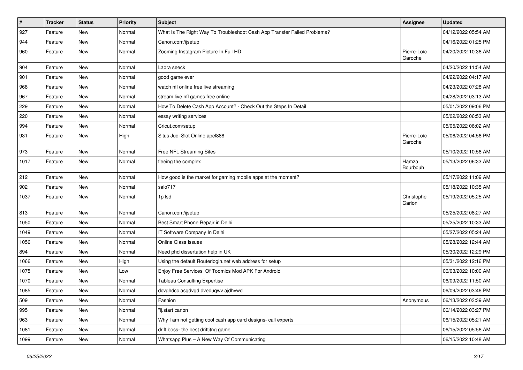| $\sharp$ | <b>Tracker</b> | <b>Status</b> | Priority | <b>Subject</b>                                                           | Assignee               | <b>Updated</b>      |
|----------|----------------|---------------|----------|--------------------------------------------------------------------------|------------------------|---------------------|
| 927      | Feature        | <b>New</b>    | Normal   | What Is The Right Way To Troubleshoot Cash App Transfer Failed Problems? |                        | 04/12/2022 05:54 AM |
| 944      | Feature        | <b>New</b>    | Normal   | Canon.com/ijsetup                                                        |                        | 04/16/2022 01:25 PM |
| 960      | Feature        | <b>New</b>    | Normal   | Zooming Instagram Picture In Full HD                                     | Pierre-Loïc<br>Garoche | 04/20/2022 10:36 AM |
| 904      | Feature        | New           | Normal   | Laora seeck                                                              |                        | 04/20/2022 11:54 AM |
| 901      | Feature        | <b>New</b>    | Normal   | good game ever                                                           |                        | 04/22/2022 04:17 AM |
| 968      | Feature        | New           | Normal   | watch nfl online free live streaming                                     |                        | 04/23/2022 07:28 AM |
| 967      | Feature        | <b>New</b>    | Normal   | stream live nfl games free online                                        |                        | 04/28/2022 03:13 AM |
| 229      | Feature        | <b>New</b>    | Normal   | How To Delete Cash App Account? - Check Out the Steps In Detail          |                        | 05/01/2022 09:06 PM |
| 220      | Feature        | <b>New</b>    | Normal   | essay writing services                                                   |                        | 05/02/2022 06:53 AM |
| 994      | Feature        | <b>New</b>    | Normal   | Cricut.com/setup                                                         |                        | 05/05/2022 06:02 AM |
| 931      | Feature        | New           | High     | Situs Judi Slot Online apel888                                           | Pierre-Loïc<br>Garoche | 05/06/2022 04:56 PM |
| 973      | Feature        | New           | Normal   | Free NFL Streaming Sites                                                 |                        | 05/10/2022 10:56 AM |
| 1017     | Feature        | New           | Normal   | fleeing the complex                                                      | Hamza<br>Bourbouh      | 05/13/2022 06:33 AM |
| 212      | Feature        | <b>New</b>    | Normal   | How good is the market for gaming mobile apps at the moment?             |                        | 05/17/2022 11:09 AM |
| 902      | Feature        | <b>New</b>    | Normal   | salo717                                                                  |                        | 05/18/2022 10:35 AM |
| 1037     | Feature        | New           | Normal   | 1p lsd                                                                   | Christophe<br>Garion   | 05/19/2022 05:25 AM |
| 813      | Feature        | New           | Normal   | Canon.com/ijsetup                                                        |                        | 05/25/2022 08:27 AM |
| 1050     | Feature        | <b>New</b>    | Normal   | Best Smart Phone Repair in Delhi                                         |                        | 05/25/2022 10:33 AM |
| 1049     | Feature        | <b>New</b>    | Normal   | IT Software Company In Delhi                                             |                        | 05/27/2022 05:24 AM |
| 1056     | Feature        | <b>New</b>    | Normal   | Online Class Issues                                                      |                        | 05/28/2022 12:44 AM |
| 894      | Feature        | New           | Normal   | Need phd dissertation help in UK                                         |                        | 05/30/2022 12:29 PM |
| 1066     | Feature        | <b>New</b>    | High     | Using the default Routerlogin.net web address for setup                  |                        | 05/31/2022 12:16 PM |
| 1075     | Feature        | New           | Low      | Enjoy Free Services Of Toomics Mod APK For Android                       |                        | 06/03/2022 10:00 AM |
| 1070     | Feature        | New           | Normal   | <b>Tableau Consulting Expertise</b>                                      |                        | 06/09/2022 11:50 AM |
| 1085     | Feature        | New           | Normal   | dcvghdcc asgdvgd dveduqwv ajdhvwd                                        |                        | 06/09/2022 03:46 PM |
| 509      | Feature        | New           | Normal   | Fashion                                                                  | Anonymous              | 06/13/2022 03:39 AM |
| 995      | Feature        | New           | Normal   | "ij.start canon                                                          |                        | 06/14/2022 03:27 PM |
| 963      | Feature        | New           | Normal   | Why I am not getting cool cash app card designs- call experts            |                        | 06/15/2022 05:21 AM |
| 1081     | Feature        | New           | Normal   | drift boss- the best driftitng game                                      |                        | 06/15/2022 05:56 AM |
| 1099     | Feature        | New           | Normal   | Whatsapp Plus - A New Way Of Communicating                               |                        | 06/15/2022 10:48 AM |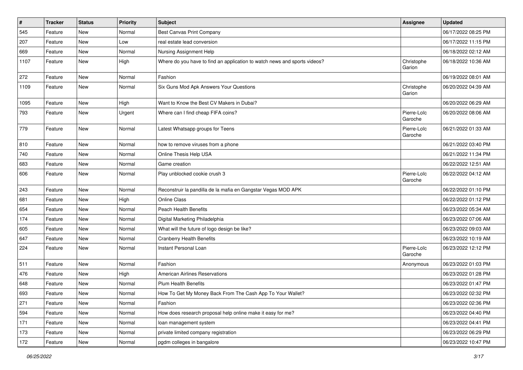| $\pmb{\#}$ | <b>Tracker</b> | <b>Status</b> | <b>Priority</b> | <b>Subject</b>                                                            | <b>Assignee</b>        | <b>Updated</b>      |
|------------|----------------|---------------|-----------------|---------------------------------------------------------------------------|------------------------|---------------------|
| 545        | Feature        | <b>New</b>    | Normal          | <b>Best Canvas Print Company</b>                                          |                        | 06/17/2022 08:25 PM |
| 207        | Feature        | <b>New</b>    | Low             | real estate lead conversion                                               |                        | 06/17/2022 11:15 PM |
| 669        | Feature        | New           | Normal          | Nursing Assignment Help                                                   |                        | 06/18/2022 02:12 AM |
| 1107       | Feature        | <b>New</b>    | High            | Where do you have to find an application to watch news and sports videos? | Christophe<br>Garion   | 06/18/2022 10:36 AM |
| 272        | Feature        | New           | Normal          | Fashion                                                                   |                        | 06/19/2022 08:01 AM |
| 1109       | Feature        | New           | Normal          | Six Guns Mod Apk Answers Your Questions                                   | Christophe<br>Garion   | 06/20/2022 04:39 AM |
| 1095       | Feature        | <b>New</b>    | High            | Want to Know the Best CV Makers in Dubai?                                 |                        | 06/20/2022 06:29 AM |
| 793        | Feature        | New           | Urgent          | Where can I find cheap FIFA coins?                                        | Pierre-Loïc<br>Garoche | 06/20/2022 08:06 AM |
| 779        | Feature        | <b>New</b>    | Normal          | Latest Whatsapp groups for Teens                                          | Pierre-Loïc<br>Garoche | 06/21/2022 01:33 AM |
| 810        | Feature        | New           | Normal          | how to remove viruses from a phone                                        |                        | 06/21/2022 03:40 PM |
| 740        | Feature        | New           | Normal          | Online Thesis Help USA                                                    |                        | 06/21/2022 11:34 PM |
| 683        | Feature        | <b>New</b>    | Normal          | Game creation                                                             |                        | 06/22/2022 12:51 AM |
| 606        | Feature        | New           | Normal          | Play unblocked cookie crush 3                                             | Pierre-Loïc<br>Garoche | 06/22/2022 04:12 AM |
| 243        | Feature        | New           | Normal          | Reconstruir la pandilla de la mafia en Gangstar Vegas MOD APK             |                        | 06/22/2022 01:10 PM |
| 681        | Feature        | <b>New</b>    | High            | Online Class                                                              |                        | 06/22/2022 01:12 PM |
| 654        | Feature        | <b>New</b>    | Normal          | Peach Health Benefits                                                     |                        | 06/23/2022 05:34 AM |
| 174        | Feature        | <b>New</b>    | Normal          | Digital Marketing Philadelphia                                            |                        | 06/23/2022 07:06 AM |
| 605        | Feature        | <b>New</b>    | Normal          | What will the future of logo design be like?                              |                        | 06/23/2022 09:03 AM |
| 647        | Feature        | <b>New</b>    | Normal          | <b>Cranberry Health Benefits</b>                                          |                        | 06/23/2022 10:19 AM |
| 224        | Feature        | New           | Normal          | Instant Personal Loan                                                     | Pierre-Loïc<br>Garoche | 06/23/2022 12:12 PM |
| 511        | Feature        | New           | Normal          | Fashion                                                                   | Anonymous              | 06/23/2022 01:03 PM |
| 476        | Feature        | <b>New</b>    | High            | <b>American Airlines Reservations</b>                                     |                        | 06/23/2022 01:28 PM |
| 648        | Feature        | <b>New</b>    | Normal          | <b>Plum Health Benefits</b>                                               |                        | 06/23/2022 01:47 PM |
| 693        | Feature        | New           | Normal          | How To Get My Money Back From The Cash App To Your Wallet?                |                        | 06/23/2022 02:32 PM |
| 271        | Feature        | New           | Normal          | Fashion                                                                   |                        | 06/23/2022 02:36 PM |
| 594        | Feature        | New           | Normal          | How does research proposal help online make it easy for me?               |                        | 06/23/2022 04:40 PM |
| 171        | Feature        | New           | Normal          | loan management system                                                    |                        | 06/23/2022 04:41 PM |
| 173        | Feature        | New           | Normal          | private limited company registration                                      |                        | 06/23/2022 06:29 PM |
| 172        | Feature        | New           | Normal          | pgdm colleges in bangalore                                                |                        | 06/23/2022 10:47 PM |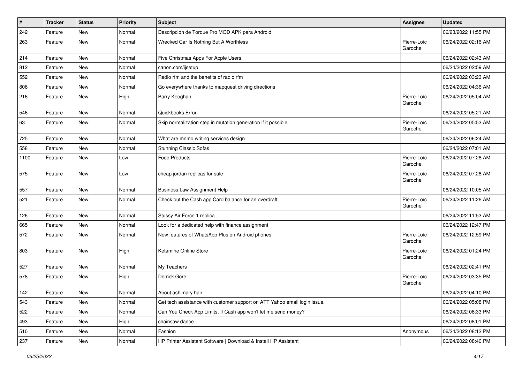| $\sharp$ | <b>Tracker</b> | <b>Status</b> | <b>Priority</b> | <b>Subject</b>                                                            | Assignee               | <b>Updated</b>      |
|----------|----------------|---------------|-----------------|---------------------------------------------------------------------------|------------------------|---------------------|
| 242      | Feature        | New           | Normal          | Descripción de Torque Pro MOD APK para Android                            |                        | 06/23/2022 11:55 PM |
| 263      | Feature        | <b>New</b>    | Normal          | Wrecked Car Is Nothing But A Worthless                                    | Pierre-Loïc<br>Garoche | 06/24/2022 02:16 AM |
| 214      | Feature        | <b>New</b>    | Normal          | Five Christmas Apps For Apple Users                                       |                        | 06/24/2022 02:43 AM |
| 812      | Feature        | <b>New</b>    | Normal          | canon.com/ijsetup                                                         |                        | 06/24/2022 02:59 AM |
| 552      | Feature        | <b>New</b>    | Normal          | Radio rfm and the benefits of radio rfm                                   |                        | 06/24/2022 03:23 AM |
| 806      | Feature        | <b>New</b>    | Normal          | Go everywhere thanks to mapquest driving directions                       |                        | 06/24/2022 04:36 AM |
| 216      | Feature        | <b>New</b>    | High            | Barry Keoghan                                                             | Pierre-Loïc<br>Garoche | 06/24/2022 05:04 AM |
| 546      | Feature        | New           | Normal          | Quickbooks Error                                                          |                        | 06/24/2022 05:21 AM |
| 63       | Feature        | New           | Normal          | Skip normalization step in mutation generation if it possible             | Pierre-Loïc<br>Garoche | 06/24/2022 05:53 AM |
| 725      | Feature        | New           | Normal          | What are memo writing services design                                     |                        | 06/24/2022 06:24 AM |
| 558      | Feature        | <b>New</b>    | Normal          | <b>Stunning Classic Sofas</b>                                             |                        | 06/24/2022 07:01 AM |
| 1100     | Feature        | <b>New</b>    | Low             | <b>Food Products</b>                                                      | Pierre-Loïc<br>Garoche | 06/24/2022 07:28 AM |
| 575      | Feature        | <b>New</b>    | Low             | cheap jordan replicas for sale                                            | Pierre-Loïc<br>Garoche | 06/24/2022 07:28 AM |
| 557      | Feature        | <b>New</b>    | Normal          | <b>Business Law Assignment Help</b>                                       |                        | 06/24/2022 10:05 AM |
| 521      | Feature        | New           | Normal          | Check out the Cash app Card balance for an overdraft.                     | Pierre-Loïc<br>Garoche | 06/24/2022 11:26 AM |
| 126      | Feature        | New           | Normal          | Stussy Air Force 1 replica                                                |                        | 06/24/2022 11:53 AM |
| 665      | Feature        | New           | Normal          | Look for a dedicated help with finance assignment                         |                        | 06/24/2022 12:47 PM |
| 572      | Feature        | <b>New</b>    | Normal          | New features of WhatsApp Plus on Android phones                           | Pierre-Loïc<br>Garoche | 06/24/2022 12:59 PM |
| 803      | Feature        | New           | High            | Ketamine Online Store                                                     | Pierre-Loïc<br>Garoche | 06/24/2022 01:24 PM |
| 527      | Feature        | <b>New</b>    | Normal          | My Teachers                                                               |                        | 06/24/2022 02:41 PM |
| 578      | Feature        | <b>New</b>    | High            | Derrick Gore                                                              | Pierre-Loïc<br>Garoche | 06/24/2022 03:35 PM |
| 142      | Feature        | New           | Normal          | About ashimary hair                                                       |                        | 06/24/2022 04:10 PM |
| 543      | Feature        | New           | Normal          | Get tech assistance with customer support on ATT Yahoo email login issue. |                        | 06/24/2022 05:08 PM |
| 522      | Feature        | New           | Normal          | Can You Check App Limits, If Cash app won't let me send money?            |                        | 06/24/2022 06:33 PM |
| 493      | Feature        | <b>New</b>    | High            | chainsaw dance                                                            |                        | 06/24/2022 08:01 PM |
| 510      | Feature        | New           | Normal          | Fashion                                                                   | Anonymous              | 06/24/2022 08:12 PM |
| 237      | Feature        | New           | Normal          | HP Printer Assistant Software   Download & Install HP Assistant           |                        | 06/24/2022 08:40 PM |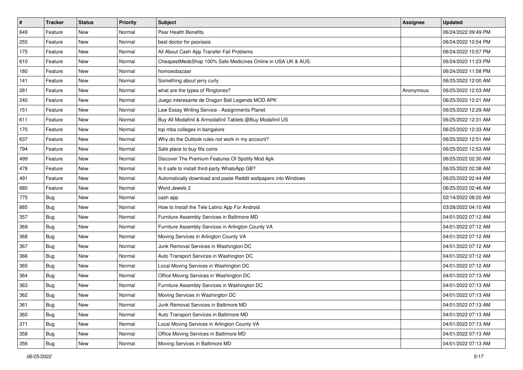| $\pmb{\#}$ | <b>Tracker</b> | <b>Status</b> | <b>Priority</b> | Subject                                                         | <b>Assignee</b> | <b>Updated</b>      |
|------------|----------------|---------------|-----------------|-----------------------------------------------------------------|-----------------|---------------------|
| 649        | Feature        | New           | Normal          | Pear Health Benefits                                            |                 | 06/24/2022 09:49 PM |
| 255        | Feature        | New           | Normal          | best doctor for psoriasis                                       |                 | 06/24/2022 10:54 PM |
| 175        | Feature        | New           | Normal          | All About Cash App Transfer Fail Problems                       |                 | 06/24/2022 10:57 PM |
| 610        | Feature        | New           | Normal          | CheapestMedsShop 100% Safe Medicines Online in USA UK & AUS.    |                 | 06/24/2022 11:23 PM |
| 180        | Feature        | <b>New</b>    | Normal          | homoeobazaar                                                    |                 | 06/24/2022 11:58 PM |
| 141        | Feature        | New           | Normal          | Something about jerry curly                                     |                 | 06/25/2022 12:00 AM |
| 281        | Feature        | New           | Normal          | what are the types of Ringtones?                                | Anonymous       | 06/25/2022 12:03 AM |
| 240        | Feature        | New           | Normal          | Juego interesante de Dragon Ball Legends MOD APK                |                 | 06/25/2022 12:21 AM |
| 151        | Feature        | New           | Normal          | Law Essay Writing Service - Assignments Planet                  |                 | 06/25/2022 12:29 AM |
| 611        | Feature        | New           | Normal          | Buy All Modafinil & Armodafinil Tablets @Buy Modafinil US       |                 | 06/25/2022 12:31 AM |
| 170        | Feature        | New           | Normal          | top mba colleges in bangalore                                   |                 | 06/25/2022 12:33 AM |
| 637        | Feature        | New           | Normal          | Why do the Outlook rules not work in my account?                |                 | 06/25/2022 12:51 AM |
| 794        | Feature        | <b>New</b>    | Normal          | Safe place to buy fifa coins                                    |                 | 06/25/2022 12:53 AM |
| 499        | Feature        | New           | Normal          | Discover The Premium Features Of Spotify Mod Apk                |                 | 06/25/2022 02:30 AM |
| 478        | Feature        | New           | Normal          | Is it safe to install third-party WhatsApp GB?                  |                 | 06/25/2022 02:38 AM |
| 491        | Feature        | New           | Normal          | Automatically download and paste Reddit wallpapers into Windows |                 | 06/25/2022 02:44 AM |
| 680        | Feature        | New           | Normal          | Word Jewels 2                                                   |                 | 06/25/2022 02:46 AM |
| 775        | Bug            | <b>New</b>    | Normal          | cash app                                                        |                 | 02/14/2022 08:20 AM |
| 885        | Bug            | New           | Normal          | How to Install the Tele Latino App For Android                  |                 | 03/28/2022 04:10 AM |
| 357        | <b>Bug</b>     | New           | Normal          | Furniture Assembly Services in Baltimore MD                     |                 | 04/01/2022 07:12 AM |
| 369        | Bug            | New           | Normal          | Furniture Assembly Services in Arlington County VA              |                 | 04/01/2022 07:12 AM |
| 368        | Bug            | New           | Normal          | Moving Services in Arlington County VA                          |                 | 04/01/2022 07:12 AM |
| 367        | Bug            | <b>New</b>    | Normal          | Junk Removal Services in Washington DC                          |                 | 04/01/2022 07:12 AM |
| 366        | <b>Bug</b>     | New           | Normal          | Auto Transport Services in Washington DC                        |                 | 04/01/2022 07:12 AM |
| 365        | Bug            | New           | Normal          | Local Moving Services in Washington DC                          |                 | 04/01/2022 07:12 AM |
| 364        | Bug            | New           | Normal          | Office Moving Services in Washington DC                         |                 | 04/01/2022 07:13 AM |
| 363        | <b>Bug</b>     | New           | Normal          | Furniture Assembly Services in Washington DC                    |                 | 04/01/2022 07:13 AM |
| 362        | Bug            | New           | Normal          | Moving Services in Washington DC                                |                 | 04/01/2022 07:13 AM |
| 361        | <b>Bug</b>     | New           | Normal          | Junk Removal Services in Baltimore MD                           |                 | 04/01/2022 07:13 AM |
| 360        | <b>Bug</b>     | New           | Normal          | Auto Transport Services in Baltimore MD                         |                 | 04/01/2022 07:13 AM |
| 371        | <b>Bug</b>     | New           | Normal          | Local Moving Services in Arlington County VA                    |                 | 04/01/2022 07:13 AM |
| 358        | <b>Bug</b>     | New           | Normal          | Office Moving Services in Baltimore MD                          |                 | 04/01/2022 07:13 AM |
| 356        | Bug            | New           | Normal          | Moving Services in Baltimore MD                                 |                 | 04/01/2022 07:13 AM |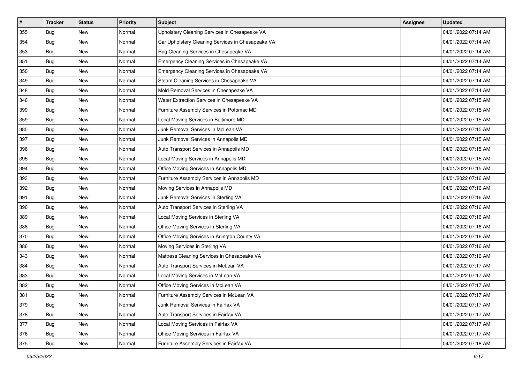| $\vert$ # | <b>Tracker</b> | <b>Status</b> | <b>Priority</b> | Subject                                           | <b>Assignee</b> | <b>Updated</b>      |
|-----------|----------------|---------------|-----------------|---------------------------------------------------|-----------------|---------------------|
| 355       | Bug            | New           | Normal          | Upholstery Cleaning Services in Chesapeake VA     |                 | 04/01/2022 07:14 AM |
| 354       | Bug            | New           | Normal          | Car Upholstery Cleaning Services in Chesapeake VA |                 | 04/01/2022 07:14 AM |
| 353       | Bug            | New           | Normal          | Rug Cleaning Services in Chesapeake VA            |                 | 04/01/2022 07:14 AM |
| 351       | Bug            | <b>New</b>    | Normal          | Emergency Cleaning Services in Chesapeake VA      |                 | 04/01/2022 07:14 AM |
| 350       | Bug            | <b>New</b>    | Normal          | Emergency Cleaning Services in Chesapeake VA      |                 | 04/01/2022 07:14 AM |
| 349       | Bug            | New           | Normal          | Steam Cleaning Services in Chesapeake VA          |                 | 04/01/2022 07:14 AM |
| 348       | Bug            | New           | Normal          | Mold Removal Services in Chesapeake VA            |                 | 04/01/2022 07:14 AM |
| 346       | Bug            | New           | Normal          | Water Extraction Services in Chesapeake VA        |                 | 04/01/2022 07:15 AM |
| 399       | Bug            | New           | Normal          | Furniture Assembly Services in Potomac MD         |                 | 04/01/2022 07:15 AM |
| 359       | Bug            | <b>New</b>    | Normal          | Local Moving Services in Baltimore MD             |                 | 04/01/2022 07:15 AM |
| 385       | Bug            | New           | Normal          | Junk Removal Services in McLean VA                |                 | 04/01/2022 07:15 AM |
| 397       | Bug            | New           | Normal          | Junk Removal Services in Annapolis MD             |                 | 04/01/2022 07:15 AM |
| 396       | Bug            | New           | Normal          | Auto Transport Services in Annapolis MD           |                 | 04/01/2022 07:15 AM |
| 395       | Bug            | New           | Normal          | Local Moving Services in Annapolis MD             |                 | 04/01/2022 07:15 AM |
| 394       | Bug            | <b>New</b>    | Normal          | Office Moving Services in Annapolis MD            |                 | 04/01/2022 07:15 AM |
| 393       | Bug            | New           | Normal          | Furniture Assembly Services in Annapolis MD       |                 | 04/01/2022 07:16 AM |
| 392       | Bug            | <b>New</b>    | Normal          | Moving Services in Annapolis MD                   |                 | 04/01/2022 07:16 AM |
| 391       | Bug            | <b>New</b>    | Normal          | Junk Removal Services in Sterling VA              |                 | 04/01/2022 07:16 AM |
| 390       | Bug            | New           | Normal          | Auto Transport Services in Sterling VA            |                 | 04/01/2022 07:16 AM |
| 389       | Bug            | <b>New</b>    | Normal          | Local Moving Services in Sterling VA              |                 | 04/01/2022 07:16 AM |
| 388       | Bug            | New           | Normal          | Office Moving Services in Sterling VA             |                 | 04/01/2022 07:16 AM |
| 370       | Bug            | <b>New</b>    | Normal          | Office Moving Services in Arlington County VA     |                 | 04/01/2022 07:16 AM |
| 386       | <b>Bug</b>     | New           | Normal          | Moving Services in Sterling VA                    |                 | 04/01/2022 07:16 AM |
| 343       | Bug            | New           | Normal          | Mattress Cleaning Services in Chesapeake VA       |                 | 04/01/2022 07:16 AM |
| 384       | Bug            | New           | Normal          | Auto Transport Services in McLean VA              |                 | 04/01/2022 07:17 AM |
| 383       | Bug            | <b>New</b>    | Normal          | Local Moving Services in McLean VA                |                 | 04/01/2022 07:17 AM |
| 382       | Bug            | <b>New</b>    | Normal          | Office Moving Services in McLean VA               |                 | 04/01/2022 07:17 AM |
| 381       | <b>Bug</b>     | New           | Normal          | Furniture Assembly Services in McLean VA          |                 | 04/01/2022 07:17 AM |
| 379       | Bug            | New           | Normal          | Junk Removal Services in Fairfax VA               |                 | 04/01/2022 07:17 AM |
| 378       | Bug            | New           | Normal          | Auto Transport Services in Fairfax VA             |                 | 04/01/2022 07:17 AM |
| 377       | Bug            | New           | Normal          | Local Moving Services in Fairfax VA               |                 | 04/01/2022 07:17 AM |
| 376       | Bug            | New           | Normal          | Office Moving Services in Fairfax VA              |                 | 04/01/2022 07:17 AM |
| 375       | <b>Bug</b>     | New           | Normal          | Furniture Assembly Services in Fairfax VA         |                 | 04/01/2022 07:18 AM |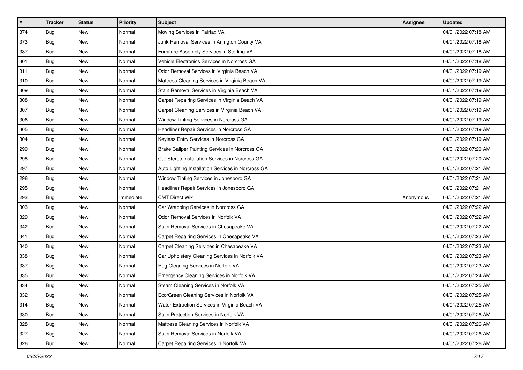| $\sharp$ | <b>Tracker</b> | <b>Status</b> | <b>Priority</b> | <b>Subject</b>                                     | <b>Assignee</b> | <b>Updated</b>      |
|----------|----------------|---------------|-----------------|----------------------------------------------------|-----------------|---------------------|
| 374      | Bug            | New           | Normal          | Moving Services in Fairfax VA                      |                 | 04/01/2022 07:18 AM |
| 373      | Bug            | <b>New</b>    | Normal          | Junk Removal Services in Arlington County VA       |                 | 04/01/2022 07:18 AM |
| 387      | Bug            | New           | Normal          | Furniture Assembly Services in Sterling VA         |                 | 04/01/2022 07:18 AM |
| 301      | Bug            | <b>New</b>    | Normal          | Vehicle Electronics Services in Norcross GA        |                 | 04/01/2022 07:18 AM |
| 311      | Bug            | <b>New</b>    | Normal          | Odor Removal Services in Virginia Beach VA         |                 | 04/01/2022 07:19 AM |
| 310      | Bug            | <b>New</b>    | Normal          | Mattress Cleaning Services in Virginia Beach VA    |                 | 04/01/2022 07:19 AM |
| 309      | Bug            | New           | Normal          | Stain Removal Services in Virginia Beach VA        |                 | 04/01/2022 07:19 AM |
| 308      | Bug            | New           | Normal          | Carpet Repairing Services in Virginia Beach VA     |                 | 04/01/2022 07:19 AM |
| 307      | Bug            | New           | Normal          | Carpet Cleaning Services in Virginia Beach VA      |                 | 04/01/2022 07:19 AM |
| 306      | Bug            | <b>New</b>    | Normal          | Window Tinting Services in Norcross GA             |                 | 04/01/2022 07:19 AM |
| 305      | <b>Bug</b>     | <b>New</b>    | Normal          | Headliner Repair Services in Norcross GA           |                 | 04/01/2022 07:19 AM |
| 304      | Bug            | New           | Normal          | Keyless Entry Services in Norcross GA              |                 | 04/01/2022 07:19 AM |
| 299      | Bug            | <b>New</b>    | Normal          | Brake Caliper Painting Services in Norcross GA     |                 | 04/01/2022 07:20 AM |
| 298      | Bug            | New           | Normal          | Car Stereo Installation Services in Norcross GA    |                 | 04/01/2022 07:20 AM |
| 297      | Bug            | <b>New</b>    | Normal          | Auto Lighting Installation Services in Norcross GA |                 | 04/01/2022 07:21 AM |
| 296      | Bug            | New           | Normal          | Window Tinting Services in Jonesboro GA            |                 | 04/01/2022 07:21 AM |
| 295      | Bug            | <b>New</b>    | Normal          | Headliner Repair Services in Jonesboro GA          |                 | 04/01/2022 07:21 AM |
| 293      | Bug            | <b>New</b>    | Immediate       | <b>CMT Direct Wix</b>                              | Anonymous       | 04/01/2022 07:21 AM |
| 303      | Bug            | New           | Normal          | Car Wrapping Services in Norcross GA               |                 | 04/01/2022 07:22 AM |
| 329      | Bug            | <b>New</b>    | Normal          | Odor Removal Services in Norfolk VA                |                 | 04/01/2022 07:22 AM |
| 342      | <b>Bug</b>     | New           | Normal          | Stain Removal Services in Chesapeake VA            |                 | 04/01/2022 07:22 AM |
| 341      | Bug            | <b>New</b>    | Normal          | Carpet Repairing Services in Chesapeake VA         |                 | 04/01/2022 07:23 AM |
| 340      | Bug            | <b>New</b>    | Normal          | Carpet Cleaning Services in Chesapeake VA          |                 | 04/01/2022 07:23 AM |
| 338      | <b>Bug</b>     | New           | Normal          | Car Upholstery Cleaning Services in Norfolk VA     |                 | 04/01/2022 07:23 AM |
| 337      | Bug            | New           | Normal          | Rug Cleaning Services in Norfolk VA                |                 | 04/01/2022 07:23 AM |
| 335      | Bug            | <b>New</b>    | Normal          | Emergency Cleaning Services in Norfolk VA          |                 | 04/01/2022 07:24 AM |
| 334      | <b>Bug</b>     | New           | Normal          | Steam Cleaning Services in Norfolk VA              |                 | 04/01/2022 07:25 AM |
| 332      | Bug            | New           | Normal          | Eco/Green Cleaning Services in Norfolk VA          |                 | 04/01/2022 07:25 AM |
| 314      | Bug            | New           | Normal          | Water Extraction Services in Virginia Beach VA     |                 | 04/01/2022 07:25 AM |
| 330      | <b>Bug</b>     | New           | Normal          | Stain Protection Services in Norfolk VA            |                 | 04/01/2022 07:26 AM |
| 328      | Bug            | New           | Normal          | Mattress Cleaning Services in Norfolk VA           |                 | 04/01/2022 07:26 AM |
| 327      | Bug            | New           | Normal          | Stain Removal Services in Norfolk VA               |                 | 04/01/2022 07:26 AM |
| 326      | <b>Bug</b>     | New           | Normal          | Carpet Repairing Services in Norfolk VA            |                 | 04/01/2022 07:26 AM |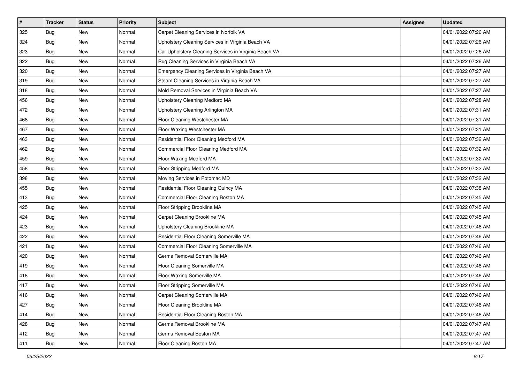| #   | <b>Tracker</b> | <b>Status</b> | <b>Priority</b> | <b>Subject</b>                                        | <b>Assignee</b> | <b>Updated</b>      |
|-----|----------------|---------------|-----------------|-------------------------------------------------------|-----------------|---------------------|
| 325 | Bug            | New           | Normal          | Carpet Cleaning Services in Norfolk VA                |                 | 04/01/2022 07:26 AM |
| 324 | Bug            | New           | Normal          | Upholstery Cleaning Services in Virginia Beach VA     |                 | 04/01/2022 07:26 AM |
| 323 | Bug            | New           | Normal          | Car Upholstery Cleaning Services in Virginia Beach VA |                 | 04/01/2022 07:26 AM |
| 322 | Bug            | <b>New</b>    | Normal          | Rug Cleaning Services in Virginia Beach VA            |                 | 04/01/2022 07:26 AM |
| 320 | Bug            | <b>New</b>    | Normal          | Emergency Cleaning Services in Virginia Beach VA      |                 | 04/01/2022 07:27 AM |
| 319 | Bug            | <b>New</b>    | Normal          | Steam Cleaning Services in Virginia Beach VA          |                 | 04/01/2022 07:27 AM |
| 318 | Bug            | <b>New</b>    | Normal          | Mold Removal Services in Virginia Beach VA            |                 | 04/01/2022 07:27 AM |
| 456 | Bug            | New           | Normal          | Upholstery Cleaning Medford MA                        |                 | 04/01/2022 07:28 AM |
| 472 | Bug            | <b>New</b>    | Normal          | Upholstery Cleaning Arlington MA                      |                 | 04/01/2022 07:31 AM |
| 468 | Bug            | <b>New</b>    | Normal          | Floor Cleaning Westchester MA                         |                 | 04/01/2022 07:31 AM |
| 467 | Bug            | New           | Normal          | Floor Waxing Westchester MA                           |                 | 04/01/2022 07:31 AM |
| 463 | Bug            | <b>New</b>    | Normal          | Residential Floor Cleaning Medford MA                 |                 | 04/01/2022 07:32 AM |
| 462 | Bug            | <b>New</b>    | Normal          | Commercial Floor Cleaning Medford MA                  |                 | 04/01/2022 07:32 AM |
| 459 | Bug            | <b>New</b>    | Normal          | Floor Waxing Medford MA                               |                 | 04/01/2022 07:32 AM |
| 458 | <b>Bug</b>     | <b>New</b>    | Normal          | Floor Stripping Medford MA                            |                 | 04/01/2022 07:32 AM |
| 398 | Bug            | New           | Normal          | Moving Services in Potomac MD                         |                 | 04/01/2022 07:32 AM |
| 455 | Bug            | <b>New</b>    | Normal          | Residential Floor Cleaning Quincy MA                  |                 | 04/01/2022 07:38 AM |
| 413 | Bug            | <b>New</b>    | Normal          | Commercial Floor Cleaning Boston MA                   |                 | 04/01/2022 07:45 AM |
| 425 | Bug            | <b>New</b>    | Normal          | Floor Stripping Brookline MA                          |                 | 04/01/2022 07:45 AM |
| 424 | Bug            | New           | Normal          | Carpet Cleaning Brookline MA                          |                 | 04/01/2022 07:45 AM |
| 423 | Bug            | New           | Normal          | Upholstery Cleaning Brookline MA                      |                 | 04/01/2022 07:46 AM |
| 422 | Bug            | <b>New</b>    | Normal          | Residential Floor Cleaning Somerville MA              |                 | 04/01/2022 07:46 AM |
| 421 | Bug            | <b>New</b>    | Normal          | Commercial Floor Cleaning Somerville MA               |                 | 04/01/2022 07:46 AM |
| 420 | Bug            | New           | Normal          | Germs Removal Somerville MA                           |                 | 04/01/2022 07:46 AM |
| 419 | Bug            | <b>New</b>    | Normal          | Floor Cleaning Somerville MA                          |                 | 04/01/2022 07:46 AM |
| 418 | Bug            | <b>New</b>    | Normal          | Floor Waxing Somerville MA                            |                 | 04/01/2022 07:46 AM |
| 417 | Bug            | <b>New</b>    | Normal          | Floor Stripping Somerville MA                         |                 | 04/01/2022 07:46 AM |
| 416 | <b>Bug</b>     | New           | Normal          | Carpet Cleaning Somerville MA                         |                 | 04/01/2022 07:46 AM |
| 427 | Bug            | New           | Normal          | Floor Cleaning Brookline MA                           |                 | 04/01/2022 07:46 AM |
| 414 | Bug            | New           | Normal          | Residential Floor Cleaning Boston MA                  |                 | 04/01/2022 07:46 AM |
| 428 | Bug            | New           | Normal          | Germs Removal Brookline MA                            |                 | 04/01/2022 07:47 AM |
| 412 | <b>Bug</b>     | New           | Normal          | Germs Removal Boston MA                               |                 | 04/01/2022 07:47 AM |
| 411 | <b>Bug</b>     | New           | Normal          | Floor Cleaning Boston MA                              |                 | 04/01/2022 07:47 AM |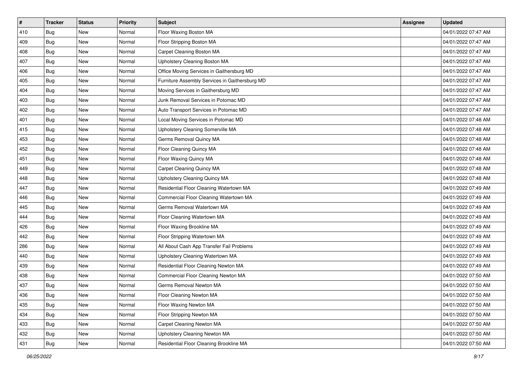| $\vert$ # | <b>Tracker</b> | <b>Status</b> | <b>Priority</b> | <b>Subject</b>                                 | <b>Assignee</b> | <b>Updated</b>      |
|-----------|----------------|---------------|-----------------|------------------------------------------------|-----------------|---------------------|
| 410       | Bug            | New           | Normal          | Floor Waxing Boston MA                         |                 | 04/01/2022 07:47 AM |
| 409       | Bug            | New           | Normal          | Floor Stripping Boston MA                      |                 | 04/01/2022 07:47 AM |
| 408       | Bug            | New           | Normal          | Carpet Cleaning Boston MA                      |                 | 04/01/2022 07:47 AM |
| 407       | Bug            | <b>New</b>    | Normal          | Upholstery Cleaning Boston MA                  |                 | 04/01/2022 07:47 AM |
| 406       | Bug            | <b>New</b>    | Normal          | Office Moving Services in Gaithersburg MD      |                 | 04/01/2022 07:47 AM |
| 405       | Bug            | New           | Normal          | Furniture Assembly Services in Gaithersburg MD |                 | 04/01/2022 07:47 AM |
| 404       | Bug            | <b>New</b>    | Normal          | Moving Services in Gaithersburg MD             |                 | 04/01/2022 07:47 AM |
| 403       | Bug            | New           | Normal          | Junk Removal Services in Potomac MD            |                 | 04/01/2022 07:47 AM |
| 402       | Bug            | <b>New</b>    | Normal          | Auto Transport Services in Potomac MD          |                 | 04/01/2022 07:47 AM |
| 401       | Bug            | <b>New</b>    | Normal          | Local Moving Services in Potomac MD            |                 | 04/01/2022 07:48 AM |
| 415       | Bug            | New           | Normal          | Upholstery Cleaning Somerville MA              |                 | 04/01/2022 07:48 AM |
| 453       | Bug            | <b>New</b>    | Normal          | Germs Removal Quincy MA                        |                 | 04/01/2022 07:48 AM |
| 452       | Bug            | <b>New</b>    | Normal          | Floor Cleaning Quincy MA                       |                 | 04/01/2022 07:48 AM |
| 451       | Bug            | <b>New</b>    | Normal          | Floor Waxing Quincy MA                         |                 | 04/01/2022 07:48 AM |
| 449       | Bug            | <b>New</b>    | Normal          | Carpet Cleaning Quincy MA                      |                 | 04/01/2022 07:48 AM |
| 448       | Bug            | New           | Normal          | Upholstery Cleaning Quincy MA                  |                 | 04/01/2022 07:48 AM |
| 447       | Bug            | <b>New</b>    | Normal          | Residential Floor Cleaning Watertown MA        |                 | 04/01/2022 07:49 AM |
| 446       | Bug            | <b>New</b>    | Normal          | Commercial Floor Cleaning Watertown MA         |                 | 04/01/2022 07:49 AM |
| 445       | Bug            | <b>New</b>    | Normal          | Germs Removal Watertown MA                     |                 | 04/01/2022 07:49 AM |
| 444       | Bug            | <b>New</b>    | Normal          | Floor Cleaning Watertown MA                    |                 | 04/01/2022 07:49 AM |
| 426       | Bug            | New           | Normal          | Floor Waxing Brookline MA                      |                 | 04/01/2022 07:49 AM |
| 442       | Bug            | <b>New</b>    | Normal          | Floor Stripping Watertown MA                   |                 | 04/01/2022 07:49 AM |
| 286       | Bug            | <b>New</b>    | Normal          | All About Cash App Transfer Fail Problems      |                 | 04/01/2022 07:49 AM |
| 440       | Bug            | New           | Normal          | Upholstery Cleaning Watertown MA               |                 | 04/01/2022 07:49 AM |
| 439       | Bug            | New           | Normal          | Residential Floor Cleaning Newton MA           |                 | 04/01/2022 07:49 AM |
| 438       | Bug            | <b>New</b>    | Normal          | Commercial Floor Cleaning Newton MA            |                 | 04/01/2022 07:50 AM |
| 437       | Bug            | <b>New</b>    | Normal          | Germs Removal Newton MA                        |                 | 04/01/2022 07:50 AM |
| 436       | <b>Bug</b>     | New           | Normal          | Floor Cleaning Newton MA                       |                 | 04/01/2022 07:50 AM |
| 435       | Bug            | New           | Normal          | Floor Waxing Newton MA                         |                 | 04/01/2022 07:50 AM |
| 434       | Bug            | New           | Normal          | Floor Stripping Newton MA                      |                 | 04/01/2022 07:50 AM |
| 433       | Bug            | New           | Normal          | Carpet Cleaning Newton MA                      |                 | 04/01/2022 07:50 AM |
| 432       | <b>Bug</b>     | New           | Normal          | Upholstery Cleaning Newton MA                  |                 | 04/01/2022 07:50 AM |
| 431       | <b>Bug</b>     | New           | Normal          | Residential Floor Cleaning Brookline MA        |                 | 04/01/2022 07:50 AM |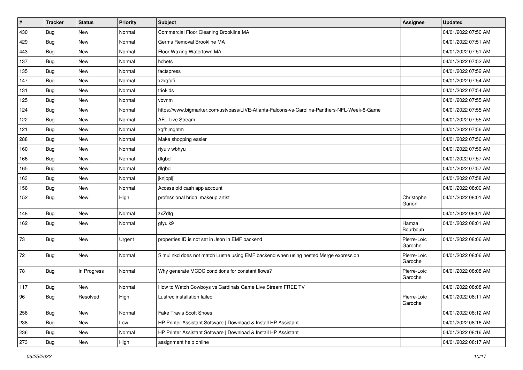| $\vert$ # | <b>Tracker</b> | <b>Status</b> | <b>Priority</b> | <b>Subject</b>                                                                               | <b>Assignee</b>        | <b>Updated</b>      |
|-----------|----------------|---------------|-----------------|----------------------------------------------------------------------------------------------|------------------------|---------------------|
| 430       | <b>Bug</b>     | New           | Normal          | Commercial Floor Cleaning Brookline MA                                                       |                        | 04/01/2022 07:50 AM |
| 429       | <b>Bug</b>     | New           | Normal          | Germs Removal Brookline MA                                                                   |                        | 04/01/2022 07:51 AM |
| 443       | <b>Bug</b>     | New           | Normal          | Floor Waxing Watertown MA                                                                    |                        | 04/01/2022 07:51 AM |
| 137       | <b>Bug</b>     | New           | Normal          | hcbets                                                                                       |                        | 04/01/2022 07:52 AM |
| 135       | <b>Bug</b>     | New           | Normal          | factspress                                                                                   |                        | 04/01/2022 07:52 AM |
| 147       | Bug            | New           | Normal          | xzxgfufi                                                                                     |                        | 04/01/2022 07:54 AM |
| 131       | Bug            | New           | Normal          | triokids                                                                                     |                        | 04/01/2022 07:54 AM |
| 125       | <b>Bug</b>     | New           | Normal          | vbvnm                                                                                        |                        | 04/01/2022 07:55 AM |
| 124       | <b>Bug</b>     | New           | Normal          | https://www.bigmarker.com/ustvpass/LIVE-Atlanta-Falcons-vs-Carolina-Panthers-NFL-Week-8-Game |                        | 04/01/2022 07:55 AM |
| 122       | Bug            | <b>New</b>    | Normal          | <b>AFL Live Stream</b>                                                                       |                        | 04/01/2022 07:55 AM |
| 121       | Bug            | New           | Normal          | xgfhjmghtm                                                                                   |                        | 04/01/2022 07:56 AM |
| 288       | Bug            | New           | Normal          | Make shopping easier                                                                         |                        | 04/01/2022 07:56 AM |
| 160       | Bug            | New           | Normal          | rtyuiv wbhyu                                                                                 |                        | 04/01/2022 07:56 AM |
| 166       | <b>Bug</b>     | New           | Normal          | dfgbd                                                                                        |                        | 04/01/2022 07:57 AM |
| 165       | <b>Bug</b>     | New           | Normal          | dfgbd                                                                                        |                        | 04/01/2022 07:57 AM |
| 163       | Bug            | New           | Normal          | jknjopl[                                                                                     |                        | 04/01/2022 07:58 AM |
| 156       | <b>Bug</b>     | New           | Normal          | Access old cash app account                                                                  |                        | 04/01/2022 08:00 AM |
| 152       | Bug            | New           | High            | professional bridal makeup artist                                                            | Christophe<br>Garion   | 04/01/2022 08:01 AM |
| 148       | <b>Bug</b>     | New           | Normal          | zxZdfg                                                                                       |                        | 04/01/2022 08:01 AM |
| 162       | <b>Bug</b>     | New           | Normal          | gfyuik9                                                                                      | Hamza<br>Bourbouh      | 04/01/2022 08:01 AM |
| 73        | Bug            | New           | Urgent          | properties ID is not set in Json in EMF backend                                              | Pierre-Loïc<br>Garoche | 04/01/2022 08:06 AM |
| 72        | <b>Bug</b>     | New           | Normal          | Simulinkd does not match Lustre using EMF backend when using nested Merge expression         | Pierre-Loïc<br>Garoche | 04/01/2022 08:06 AM |
| 78        | Bug            | In Progress   | Normal          | Why generate MCDC conditions for constant flows?                                             | Pierre-Loïc<br>Garoche | 04/01/2022 08:08 AM |
| 117       | <b>Bug</b>     | New           | Normal          | How to Watch Cowboys vs Cardinals Game Live Stream FREE TV                                   |                        | 04/01/2022 08:08 AM |
| 96        | Bug            | Resolved      | High            | Lustrec installation failed                                                                  | Pierre-Loïc<br>Garoche | 04/01/2022 08:11 AM |
| 256       | Bug            | New           | Normal          | <b>Fake Travis Scott Shoes</b>                                                               |                        | 04/01/2022 08:12 AM |
| 238       | <b>Bug</b>     | New           | Low             | HP Printer Assistant Software   Download & Install HP Assistant                              |                        | 04/01/2022 08:16 AM |
| 236       | Bug            | New           | Normal          | HP Printer Assistant Software   Download & Install HP Assistant                              |                        | 04/01/2022 08:16 AM |
| 273       | <b>Bug</b>     | New           | High            | assignment help online                                                                       |                        | 04/01/2022 08:17 AM |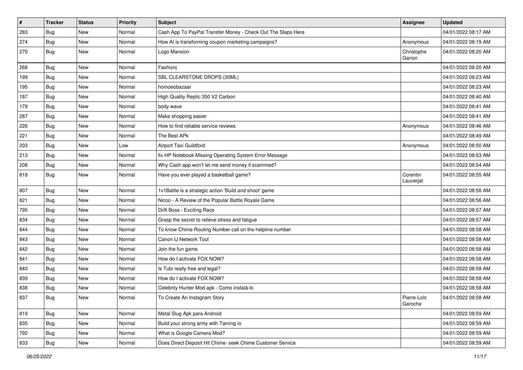| $\vert$ # | <b>Tracker</b> | <b>Status</b> | <b>Priority</b> | <b>Subject</b>                                               | <b>Assignee</b>        | <b>Updated</b>      |
|-----------|----------------|---------------|-----------------|--------------------------------------------------------------|------------------------|---------------------|
| 283       | Bug            | <b>New</b>    | Normal          | Cash App To PayPal Transfer Money - Check Out The Steps Here |                        | 04/01/2022 08:17 AM |
| 274       | Bug            | <b>New</b>    | Normal          | How AI is transforming coupon marketing campaigns?           | Anonymous              | 04/01/2022 08:19 AM |
| 270       | Bug            | <b>New</b>    | Normal          | Logo Mansion                                                 | Christophe<br>Garion   | 04/01/2022 08:20 AM |
| 268       | Bug            | <b>New</b>    | Normal          | Fashionj                                                     |                        | 04/01/2022 08:20 AM |
| 199       | <b>Bug</b>     | New           | Normal          | SBL CLEARSTONE DROPS (30ML)                                  |                        | 04/01/2022 08:23 AM |
| 195       | Bug            | <b>New</b>    | Normal          | homoeobazaar                                                 |                        | 04/01/2022 08:23 AM |
| 187       | Bug            | <b>New</b>    | Normal          | High Quality Replic 350 V2 Carbon                            |                        | 04/01/2022 08:40 AM |
| 179       | Bug            | <b>New</b>    | Normal          | body wave                                                    |                        | 04/01/2022 08:41 AM |
| 287       | Bug            | <b>New</b>    | Normal          | Make shopping easier                                         |                        | 04/01/2022 08:41 AM |
| 226       | Bug            | <b>New</b>    | Normal          | How to find reliable service reviews                         | Anonymous              | 04/01/2022 08:46 AM |
| 221       | <b>Bug</b>     | <b>New</b>    | Normal          | The Best APk                                                 |                        | 04/01/2022 08:49 AM |
| 203       | Bug            | <b>New</b>    | Low             | Airport Taxi Guildford                                       | Anonymous              | 04/01/2022 08:50 AM |
| 213       | Bug            | <b>New</b>    | Normal          | fix HP Notebook Missing Operating System Error Message       |                        | 04/01/2022 08:53 AM |
| 208       | Bug            | <b>New</b>    | Normal          | Why Cash app won't let me send money if scammed?             |                        | 04/01/2022 08:54 AM |
| 818       | Bug            | <b>New</b>    | Normal          | Have you ever played a basketball game?                      | Corentin<br>Lauverjat  | 04/01/2022 08:55 AM |
| 807       | Bug            | <b>New</b>    | Normal          | 1v1Battle is a strategic action 'Build and shoot' game       |                        | 04/01/2022 08:56 AM |
| 821       | Bug            | <b>New</b>    | Normal          | Nicoo - A Review of the Popular Battle Royale Game           |                        | 04/01/2022 08:56 AM |
| 795       | Bug            | <b>New</b>    | Normal          | Drift Boss - Exciting Race                                   |                        | 04/01/2022 08:57 AM |
| 834       | Bug            | <b>New</b>    | Normal          | Grasp the secret to relieve stress and fatigue               |                        | 04/01/2022 08:57 AM |
| 844       | Bug            | <b>New</b>    | Normal          | To know Chime Routing Number call on the helpline number     |                        | 04/01/2022 08:58 AM |
| 843       | Bug            | <b>New</b>    | Normal          | Canon IJ Network Tool                                        |                        | 04/01/2022 08:58 AM |
| 842       | Bug            | <b>New</b>    | Normal          | Join the fun game                                            |                        | 04/01/2022 08:58 AM |
| 841       | <b>Bug</b>     | <b>New</b>    | Normal          | How do I activate FOX NOW?                                   |                        | 04/01/2022 08:58 AM |
| 840       | Bug            | <b>New</b>    | Normal          | Is Tubi really free and legal?                               |                        | 04/01/2022 08:58 AM |
| 839       | Bug            | <b>New</b>    | Normal          | How do I activate FOX NOW?                                   |                        | 04/01/2022 08:58 AM |
| 838       | Bug            | <b>New</b>    | Normal          | Celebrity Hunter Mod apk - Como instalá-lo                   |                        | 04/01/2022 08:58 AM |
| 837       | <b>Bug</b>     | New           | Normal          | To Create An Instagram Story                                 | Pierre-Loïc<br>Garoche | 04/01/2022 08:58 AM |
| 819       | <b>Bug</b>     | New           | Normal          | Metal Slug Apk para Android                                  |                        | 04/01/2022 08:59 AM |
| 835       | Bug            | New           | Normal          | Build your strong army with Taming io                        |                        | 04/01/2022 08:59 AM |
| 792       | Bug            | New           | Normal          | What is Google Camera Mod?                                   |                        | 04/01/2022 08:59 AM |
| 833       | Bug            | New           | Normal          | Does Direct Deposit Hit Chime- seek Chime Customer Service   |                        | 04/01/2022 08:59 AM |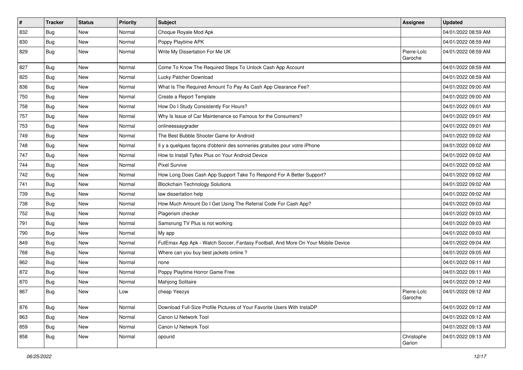| $\pmb{\#}$ | <b>Tracker</b> | <b>Status</b> | <b>Priority</b> | <b>Subject</b>                                                                   | <b>Assignee</b>        | <b>Updated</b>      |
|------------|----------------|---------------|-----------------|----------------------------------------------------------------------------------|------------------------|---------------------|
| 832        | Bug            | New           | Normal          | Choque Royale Mod Apk                                                            |                        | 04/01/2022 08:59 AM |
| 830        | Bug            | <b>New</b>    | Normal          | Poppy Playtime APK                                                               |                        | 04/01/2022 08:59 AM |
| 829        | <b>Bug</b>     | New           | Normal          | Write My Dissertation For Me UK                                                  | Pierre-Loïc<br>Garoche | 04/01/2022 08:59 AM |
| 827        | Bug            | <b>New</b>    | Normal          | Come To Know The Required Steps To Unlock Cash App Account                       |                        | 04/01/2022 08:59 AM |
| 825        | Bug            | <b>New</b>    | Normal          | Lucky Patcher Download                                                           |                        | 04/01/2022 08:59 AM |
| 836        | Bug            | <b>New</b>    | Normal          | What Is The Required Amount To Pay As Cash App Clearance Fee?                    |                        | 04/01/2022 09:00 AM |
| 750        | Bug            | New           | Normal          | Create a Report Template                                                         |                        | 04/01/2022 09:00 AM |
| 758        | Bug            | <b>New</b>    | Normal          | How Do I Study Consistently For Hours?                                           |                        | 04/01/2022 09:01 AM |
| 757        | Bug            | <b>New</b>    | Normal          | Why Is Issue of Car Maintenance so Famous for the Consumers?                     |                        | 04/01/2022 09:01 AM |
| 753        | Bug            | New           | Normal          | onlineessaygrader                                                                |                        | 04/01/2022 09:01 AM |
| 749        | Bug            | <b>New</b>    | Normal          | The Best Bubble Shooter Game for Android                                         |                        | 04/01/2022 09:02 AM |
| 748        | Bug            | <b>New</b>    | Normal          | Il y a quelques façons d'obtenir des sonneries gratuites pour votre iPhone       |                        | 04/01/2022 09:02 AM |
| 747        | Bug            | <b>New</b>    | Normal          | How to Install Tyflex Plus on Your Android Device                                |                        | 04/01/2022 09:02 AM |
| 744        | Bug            | <b>New</b>    | Normal          | <b>Pixel Survive</b>                                                             |                        | 04/01/2022 09:02 AM |
| 742        | Bug            | New           | Normal          | How Long Does Cash App Support Take To Respond For A Better Support?             |                        | 04/01/2022 09:02 AM |
| 741        | Bug            | <b>New</b>    | Normal          | <b>Blockchain Technology Solutions</b>                                           |                        | 04/01/2022 09:02 AM |
| 739        | Bug            | <b>New</b>    | Normal          | law dissertation help                                                            |                        | 04/01/2022 09:02 AM |
| 738        | Bug            | <b>New</b>    | Normal          | How Much Amount Do I Get Using The Referral Code For Cash App?                   |                        | 04/01/2022 09:03 AM |
| 752        | Bug            | <b>New</b>    | Normal          | Plagerism checker                                                                |                        | 04/01/2022 09:03 AM |
| 791        | Bug            | New           | Normal          | Samsnung TV Plus is not working                                                  |                        | 04/01/2022 09:03 AM |
| 790        | Bug            | <b>New</b>    | Normal          | My app                                                                           |                        | 04/01/2022 09:03 AM |
| 849        | Bug            | <b>New</b>    | Normal          | FutEmax App Apk - Watch Soccer, Fantasy Football, And More On Your Mobile Device |                        | 04/01/2022 09:04 AM |
| 768        | Bug            | New           | Normal          | Where can you buy best jackets online?                                           |                        | 04/01/2022 09:05 AM |
| 862        | Bug            | <b>New</b>    | Normal          | none                                                                             |                        | 04/01/2022 09:11 AM |
| 872        | Bug            | <b>New</b>    | Normal          | Poppy Playtime Horror Game Free                                                  |                        | 04/01/2022 09:11 AM |
| 870        | Bug            | <b>New</b>    | Normal          | Mahjong Solitaire                                                                |                        | 04/01/2022 09:12 AM |
| 867        | Bug            | <b>New</b>    | Low             | cheap Yeezys                                                                     | Pierre-Loïc<br>Garoche | 04/01/2022 09:12 AM |
| 876        | <b>Bug</b>     | <b>New</b>    | Normal          | Download Full-Size Profile Pictures of Your Favorite Users With InstaDP          |                        | 04/01/2022 09:12 AM |
| 863        | Bug            | New           | Normal          | Canon IJ Network Tool                                                            |                        | 04/01/2022 09:12 AM |
| 859        | Bug            | New           | Normal          | Canon IJ Network Tool                                                            |                        | 04/01/2022 09:13 AM |
| 858        | <b>Bug</b>     | New           | Normal          | opourid                                                                          | Christophe<br>Garion   | 04/01/2022 09:13 AM |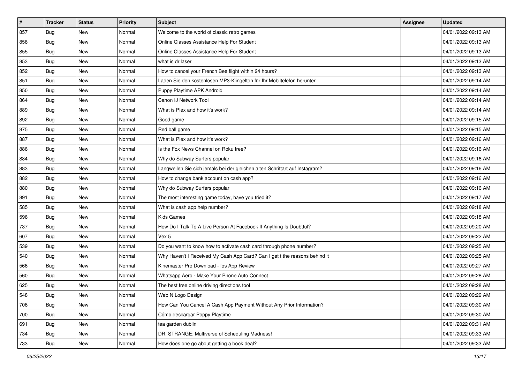| #   | <b>Tracker</b> | <b>Status</b> | <b>Priority</b> | <b>Subject</b>                                                              | <b>Assignee</b> | <b>Updated</b>      |
|-----|----------------|---------------|-----------------|-----------------------------------------------------------------------------|-----------------|---------------------|
| 857 | Bug            | <b>New</b>    | Normal          | Welcome to the world of classic retro games                                 |                 | 04/01/2022 09:13 AM |
| 856 | Bug            | <b>New</b>    | Normal          | Online Classes Assistance Help For Student                                  |                 | 04/01/2022 09:13 AM |
| 855 | Bug            | New           | Normal          | Online Classes Assistance Help For Student                                  |                 | 04/01/2022 09:13 AM |
| 853 | Bug            | <b>New</b>    | Normal          | what is dr laser                                                            |                 | 04/01/2022 09:13 AM |
| 852 | Bug            | <b>New</b>    | Normal          | How to cancel your French Bee flight within 24 hours?                       |                 | 04/01/2022 09:13 AM |
| 851 | Bug            | New           | Normal          | Laden Sie den kostenlosen MP3-Klingelton für Ihr Mobiltelefon herunter      |                 | 04/01/2022 09:14 AM |
| 850 | Bug            | <b>New</b>    | Normal          | Puppy Playtime APK Android                                                  |                 | 04/01/2022 09:14 AM |
| 864 | Bug            | New           | Normal          | Canon IJ Network Tool                                                       |                 | 04/01/2022 09:14 AM |
| 889 | <b>Bug</b>     | <b>New</b>    | Normal          | What is Plex and how it's work?                                             |                 | 04/01/2022 09:14 AM |
| 892 | Bug            | <b>New</b>    | Normal          | Good game                                                                   |                 | 04/01/2022 09:15 AM |
| 875 | Bug            | <b>New</b>    | Normal          | Red ball game                                                               |                 | 04/01/2022 09:15 AM |
| 887 | Bug            | <b>New</b>    | Normal          | What is Plex and how it's work?                                             |                 | 04/01/2022 09:16 AM |
| 886 | Bug            | New           | Normal          | Is the Fox News Channel on Roku free?                                       |                 | 04/01/2022 09:16 AM |
| 884 | Bug            | <b>New</b>    | Normal          | Why do Subway Surfers popular                                               |                 | 04/01/2022 09:16 AM |
| 883 | Bug            | <b>New</b>    | Normal          | Langweilen Sie sich jemals bei der gleichen alten Schriftart auf Instagram? |                 | 04/01/2022 09:16 AM |
| 882 | Bug            | New           | Normal          | How to change bank account on cash app?                                     |                 | 04/01/2022 09:16 AM |
| 880 | Bug            | <b>New</b>    | Normal          | Why do Subway Surfers popular                                               |                 | 04/01/2022 09:16 AM |
| 891 | Bug            | <b>New</b>    | Normal          | The most interesting game today, have you tried it?                         |                 | 04/01/2022 09:17 AM |
| 585 | Bug            | <b>New</b>    | Normal          | What is cash app help number?                                               |                 | 04/01/2022 09:18 AM |
| 596 | Bug            | <b>New</b>    | Normal          | Kids Games                                                                  |                 | 04/01/2022 09:18 AM |
| 737 | Bug            | New           | Normal          | How Do I Talk To A Live Person At Facebook If Anything Is Doubtful?         |                 | 04/01/2022 09:20 AM |
| 607 | Bug            | <b>New</b>    | Normal          | Vex 5                                                                       |                 | 04/01/2022 09:22 AM |
| 539 | Bug            | <b>New</b>    | Normal          | Do you want to know how to activate cash card through phone number?         |                 | 04/01/2022 09:25 AM |
| 540 | <b>Bug</b>     | <b>New</b>    | Normal          | Why Haven't I Received My Cash App Card? Can I get t the reasons behind it  |                 | 04/01/2022 09:25 AM |
| 566 | Bug            | <b>New</b>    | Normal          | Kinemaster Pro Download - los App Review                                    |                 | 04/01/2022 09:27 AM |
| 560 | Bug            | New           | Normal          | Whatsapp Aero - Make Your Phone Auto Connect                                |                 | 04/01/2022 09:28 AM |
| 625 | Bug            | <b>New</b>    | Normal          | The best free online driving directions tool                                |                 | 04/01/2022 09:28 AM |
| 548 | <b>Bug</b>     | New           | Normal          | Web N Logo Design                                                           |                 | 04/01/2022 09:29 AM |
| 706 | Bug            | New           | Normal          | How Can You Cancel A Cash App Payment Without Any Prior Information?        |                 | 04/01/2022 09:30 AM |
| 700 | Bug            | New           | Normal          | Cómo descargar Poppy Playtime                                               |                 | 04/01/2022 09:30 AM |
| 691 | Bug            | New           | Normal          | tea garden dublin                                                           |                 | 04/01/2022 09:31 AM |
| 734 | Bug            | New           | Normal          | DR. STRANGE: Multiverse of Scheduling Madness!                              |                 | 04/01/2022 09:33 AM |
| 733 | <b>Bug</b>     | New           | Normal          | How does one go about getting a book deal?                                  |                 | 04/01/2022 09:33 AM |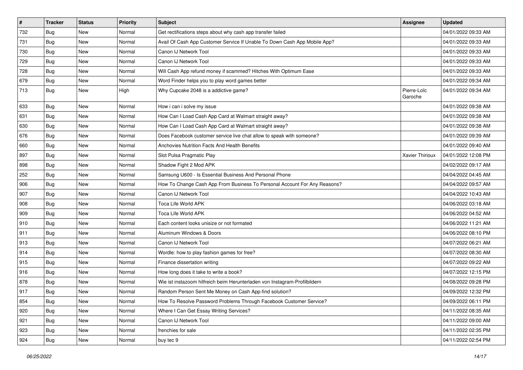| $\vert$ # | <b>Tracker</b> | <b>Status</b> | <b>Priority</b> | Subject                                                                    | Assignee               | <b>Updated</b>      |
|-----------|----------------|---------------|-----------------|----------------------------------------------------------------------------|------------------------|---------------------|
| 732       | <b>Bug</b>     | New           | Normal          | Get rectifications steps about why cash app transfer failed                |                        | 04/01/2022 09:33 AM |
| 731       | Bug            | New           | Normal          | Avail Of Cash App Customer Service If Unable To Down Cash App Mobile App?  |                        | 04/01/2022 09:33 AM |
| 730       | Bug            | New           | Normal          | Canon IJ Network Tool                                                      |                        | 04/01/2022 09:33 AM |
| 729       | Bug            | New           | Normal          | Canon IJ Network Tool                                                      |                        | 04/01/2022 09:33 AM |
| 728       | Bug            | New           | Normal          | Will Cash App refund money if scammed? Hitches With Optimum Ease           |                        | 04/01/2022 09:33 AM |
| 679       | <b>Bug</b>     | New           | Normal          | Word Finder helps you to play word games better                            |                        | 04/01/2022 09:34 AM |
| 713       | <b>Bug</b>     | New           | High            | Why Cupcake 2048 is a addictive game?                                      | Pierre-Loïc<br>Garoche | 04/01/2022 09:34 AM |
| 633       | Bug            | New           | Normal          | How i can i solve my issue                                                 |                        | 04/01/2022 09:38 AM |
| 631       | Bug            | <b>New</b>    | Normal          | How Can I Load Cash App Card at Walmart straight away?                     |                        | 04/01/2022 09:38 AM |
| 630       | Bug            | New           | Normal          | How Can I Load Cash App Card at Walmart straight away?                     |                        | 04/01/2022 09:38 AM |
| 676       | Bug            | New           | Normal          | Does Facebook customer service live chat allow to speak with someone?      |                        | 04/01/2022 09:39 AM |
| 660       | Bug            | New           | Normal          | Anchovies Nutrition Facts And Health Benefits                              |                        | 04/01/2022 09:40 AM |
| 897       | Bug            | New           | Normal          | Slot Pulsa Pragmatic Play                                                  | Xavier Thirioux        | 04/01/2022 12:08 PM |
| 898       | Bug            | New           | Normal          | Shadow Fight 2 Mod APK                                                     |                        | 04/02/2022 09:17 AM |
| 252       | Bug            | New           | Normal          | Samsung U600 - Is Essential Business And Personal Phone                    |                        | 04/04/2022 04:45 AM |
| 906       | Bug            | <b>New</b>    | Normal          | How To Change Cash App From Business To Personal Account For Any Reasons?  |                        | 04/04/2022 09:57 AM |
| 907       | Bug            | New           | Normal          | Canon IJ Network Tool                                                      |                        | 04/04/2022 10:43 AM |
| 908       | <b>Bug</b>     | New           | Normal          | Toca Life World APK                                                        |                        | 04/06/2022 03:18 AM |
| 909       | Bug            | New           | Normal          | Toca Life World APK                                                        |                        | 04/06/2022 04:52 AM |
| 910       | Bug            | <b>New</b>    | Normal          | Each content looks unisize or not formated                                 |                        | 04/06/2022 11:21 AM |
| 911       | Bug            | New           | Normal          | Aluminum Windows & Doors                                                   |                        | 04/06/2022 08:10 PM |
| 913       | Bug            | New           | Normal          | Canon IJ Network Tool                                                      |                        | 04/07/2022 06:21 AM |
| 914       | Bug            | New           | Normal          | Wordle: how to play fashion games for free?                                |                        | 04/07/2022 08:30 AM |
| 915       | Bug            | New           | Normal          | Finance dissertation writing                                               |                        | 04/07/2022 09:22 AM |
| 916       | Bug            | New           | Normal          | How long does it take to write a book?                                     |                        | 04/07/2022 12:15 PM |
| 878       | <b>Bug</b>     | New           | Normal          | Wie ist instazoom hilfreich beim Herunterladen von Instagram-Profilbildern |                        | 04/08/2022 09:28 PM |
| 917       | <b>Bug</b>     | New           | Normal          | Random Person Sent Me Money on Cash App-find solution?                     |                        | 04/09/2022 12:32 PM |
| 854       | Bug            | New           | Normal          | How To Resolve Password Problems Through Facebook Customer Service?        |                        | 04/09/2022 06:11 PM |
| 920       | <b>Bug</b>     | New           | Normal          | Where I Can Get Essay Writing Services?                                    |                        | 04/11/2022 08:35 AM |
| 921       | <b>Bug</b>     | New           | Normal          | Canon IJ Network Tool                                                      |                        | 04/11/2022 09:00 AM |
| 923       | <b>Bug</b>     | New           | Normal          | frenchies for sale                                                         |                        | 04/11/2022 02:35 PM |
| 924       | <b>Bug</b>     | New           | Normal          | buy tec 9                                                                  |                        | 04/11/2022 02:54 PM |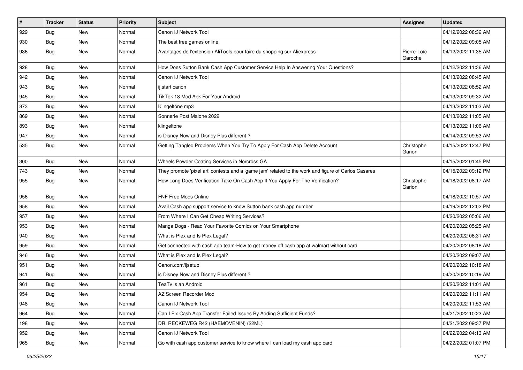| $\sharp$ | <b>Tracker</b> | <b>Status</b> | <b>Priority</b> | <b>Subject</b>                                                                                      | <b>Assignee</b>        | <b>Updated</b>      |
|----------|----------------|---------------|-----------------|-----------------------------------------------------------------------------------------------------|------------------------|---------------------|
| 929      | Bug            | New           | Normal          | Canon IJ Network Tool                                                                               |                        | 04/12/2022 08:32 AM |
| 930      | Bug            | <b>New</b>    | Normal          | The best free games online                                                                          |                        | 04/12/2022 09:05 AM |
| 936      | Bug            | New           | Normal          | Avantages de l'extension AliTools pour faire du shopping sur Aliexpress                             | Pierre-Loïc<br>Garoche | 04/12/2022 11:35 AM |
| 928      | Bug            | <b>New</b>    | Normal          | How Does Sutton Bank Cash App Customer Service Help In Answering Your Questions?                    |                        | 04/12/2022 11:36 AM |
| 942      | Bug            | New           | Normal          | Canon IJ Network Tool                                                                               |                        | 04/13/2022 08:45 AM |
| 943      | Bug            | <b>New</b>    | Normal          | ij.start canon                                                                                      |                        | 04/13/2022 08:52 AM |
| 945      | Bug            | New           | Normal          | TikTok 18 Mod Apk For Your Android                                                                  |                        | 04/13/2022 09:32 AM |
| 873      | Bug            | <b>New</b>    | Normal          | Klingeltöne mp3                                                                                     |                        | 04/13/2022 11:03 AM |
| 869      | Bug            | <b>New</b>    | Normal          | Sonnerie Post Malone 2022                                                                           |                        | 04/13/2022 11:05 AM |
| 893      | Bug            | New           | Normal          | klingeltone                                                                                         |                        | 04/13/2022 11:06 AM |
| 947      | Bug            | <b>New</b>    | Normal          | is Disney Now and Disney Plus different?                                                            |                        | 04/14/2022 09:53 AM |
| 535      | Bug            | New           | Normal          | Getting Tangled Problems When You Try To Apply For Cash App Delete Account                          | Christophe<br>Garion   | 04/15/2022 12:47 PM |
| 300      | Bug            | <b>New</b>    | Normal          | Wheels Powder Coating Services in Norcross GA                                                       |                        | 04/15/2022 01:45 PM |
| 743      | Bug            | New           | Normal          | They promote 'pixel art' contests and a 'game jam' related to the work and figure of Carlos Casares |                        | 04/15/2022 09:12 PM |
| 955      | Bug            | <b>New</b>    | Normal          | How Long Does Verification Take On Cash App If You Apply For The Verification?                      | Christophe<br>Garion   | 04/18/2022 08:17 AM |
| 956      | <b>Bug</b>     | New           | Normal          | FNF Free Mods Online                                                                                |                        | 04/18/2022 10:57 AM |
| 958      | Bug            | <b>New</b>    | Normal          | Avail Cash app support service to know Sutton bank cash app number                                  |                        | 04/19/2022 12:02 PM |
| 957      | Bug            | <b>New</b>    | Normal          | From Where I Can Get Cheap Writing Services?                                                        |                        | 04/20/2022 05:06 AM |
| 953      | Bug            | <b>New</b>    | Normal          | Manga Dogs - Read Your Favorite Comics on Your Smartphone                                           |                        | 04/20/2022 05:25 AM |
| 940      | Bug            | <b>New</b>    | Normal          | What is Plex and Is Plex Legal?                                                                     |                        | 04/20/2022 06:31 AM |
| 959      | Bug            | New           | Normal          | Get connected with cash app team-How to get money off cash app at walmart without card              |                        | 04/20/2022 08:18 AM |
| 946      | Bug            | <b>New</b>    | Normal          | What is Plex and Is Plex Legal?                                                                     |                        | 04/20/2022 09:07 AM |
| 951      | Bug            | <b>New</b>    | Normal          | Canon.com/ijsetup                                                                                   |                        | 04/20/2022 10:18 AM |
| 941      | Bug            | New           | Normal          | is Disney Now and Disney Plus different?                                                            |                        | 04/20/2022 10:19 AM |
| 961      | Bug            | <b>New</b>    | Normal          | TeaTv is an Android                                                                                 |                        | 04/20/2022 11:01 AM |
| 954      | Bug            | New           | Normal          | AZ Screen Recorder Mod                                                                              |                        | 04/20/2022 11:11 AM |
| 948      | Bug            | New           | Normal          | Canon IJ Network Tool                                                                               |                        | 04/20/2022 11:53 AM |
| 964      | Bug            | New           | Normal          | Can I Fix Cash App Transfer Failed Issues By Adding Sufficient Funds?                               |                        | 04/21/2022 10:23 AM |
| 198      | <b>Bug</b>     | New           | Normal          | DR. RECKEWEG R42 (HAEMOVENIN) (22ML)                                                                |                        | 04/21/2022 09:37 PM |
| 952      | Bug            | New           | Normal          | Canon IJ Network Tool                                                                               |                        | 04/22/2022 04:13 AM |
| 965      | <b>Bug</b>     | New           | Normal          | Go with cash app customer service to know where I can load my cash app card                         |                        | 04/22/2022 01:07 PM |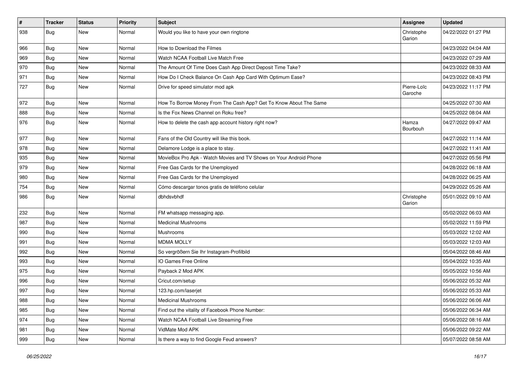| $\vert$ # | <b>Tracker</b> | <b>Status</b> | <b>Priority</b> | <b>Subject</b>                                                     | Assignee               | <b>Updated</b>      |
|-----------|----------------|---------------|-----------------|--------------------------------------------------------------------|------------------------|---------------------|
| 938       | Bug            | New           | Normal          | Would you like to have your own ringtone                           | Christophe<br>Garion   | 04/22/2022 01:27 PM |
| 966       | Bug            | <b>New</b>    | Normal          | How to Download the Filmes                                         |                        | 04/23/2022 04:04 AM |
| 969       | Bug            | <b>New</b>    | Normal          | Watch NCAA Football Live Match Free                                |                        | 04/23/2022 07:29 AM |
| 970       | Bug            | <b>New</b>    | Normal          | The Amount Of Time Does Cash App Direct Deposit Time Take?         |                        | 04/23/2022 08:33 AM |
| 971       | Bug            | <b>New</b>    | Normal          | How Do I Check Balance On Cash App Card With Optimum Ease?         |                        | 04/23/2022 08:43 PM |
| 727       | Bug            | <b>New</b>    | Normal          | Drive for speed simulator mod apk                                  | Pierre-Loïc<br>Garoche | 04/23/2022 11:17 PM |
| 972       | Bug            | <b>New</b>    | Normal          | How To Borrow Money From The Cash App? Get To Know About The Same  |                        | 04/25/2022 07:30 AM |
| 888       | Bug            | <b>New</b>    | Normal          | Is the Fox News Channel on Roku free?                              |                        | 04/25/2022 08:04 AM |
| 976       | Bug            | <b>New</b>    | Normal          | How to delete the cash app account history right now?              | Hamza<br>Bourbouh      | 04/27/2022 09:47 AM |
| 977       | Bug            | <b>New</b>    | Normal          | Fans of the Old Country will like this book.                       |                        | 04/27/2022 11:14 AM |
| 978       | Bug            | <b>New</b>    | Normal          | Delamore Lodge is a place to stay.                                 |                        | 04/27/2022 11:41 AM |
| 935       | Bug            | <b>New</b>    | Normal          | MovieBox Pro Apk - Watch Movies and TV Shows on Your Android Phone |                        | 04/27/2022 05:56 PM |
| 979       | Bug            | <b>New</b>    | Normal          | Free Gas Cards for the Unemployed                                  |                        | 04/28/2022 06:18 AM |
| 980       | Bug            | <b>New</b>    | Normal          | Free Gas Cards for the Unemployed                                  |                        | 04/28/2022 06:25 AM |
| 754       | Bug            | New           | Normal          | Cómo descargar tonos gratis de teléfono celular                    |                        | 04/29/2022 05:26 AM |
| 986       | Bug            | <b>New</b>    | Normal          | dbhdsvbhdf                                                         | Christophe<br>Garion   | 05/01/2022 09:10 AM |
| 232       | Bug            | <b>New</b>    | Normal          | FM whatsapp messaging app.                                         |                        | 05/02/2022 06:03 AM |
| 987       | Bug            | <b>New</b>    | Normal          | <b>Medicinal Mushrooms</b>                                         |                        | 05/02/2022 11:59 PM |
| 990       | Bug            | <b>New</b>    | Normal          | Mushrooms                                                          |                        | 05/03/2022 12:02 AM |
| 991       | Bug            | New           | Normal          | <b>MDMA MOLLY</b>                                                  |                        | 05/03/2022 12:03 AM |
| 992       | Bug            | <b>New</b>    | Normal          | So vergrößern Sie Ihr Instagram-Profilbild                         |                        | 05/04/2022 08:46 AM |
| 993       | Bug            | <b>New</b>    | Normal          | IO Games Free Online                                               |                        | 05/04/2022 10:35 AM |
| 975       | Bug            | <b>New</b>    | Normal          | Payback 2 Mod APK                                                  |                        | 05/05/2022 10:56 AM |
| 996       | Bug            | <b>New</b>    | Normal          | Cricut.com/setup                                                   |                        | 05/06/2022 05:32 AM |
| 997       | Bug            | New           | Normal          | 123.hp.com/laserjet                                                |                        | 05/06/2022 05:33 AM |
| 988       | <b>Bug</b>     | New           | Normal          | <b>Medicinal Mushrooms</b>                                         |                        | 05/06/2022 06:06 AM |
| 985       | Bug            | New           | Normal          | Find out the vitality of Facebook Phone Number:                    |                        | 05/06/2022 06:34 AM |
| 974       | <b>Bug</b>     | New           | Normal          | Watch NCAA Football Live Streaming Free                            |                        | 05/06/2022 08:16 AM |
| 981       | Bug            | New           | Normal          | VidMate Mod APK                                                    |                        | 05/06/2022 09:22 AM |
| 999       | <b>Bug</b>     | New           | Normal          | Is there a way to find Google Feud answers?                        |                        | 05/07/2022 08:58 AM |